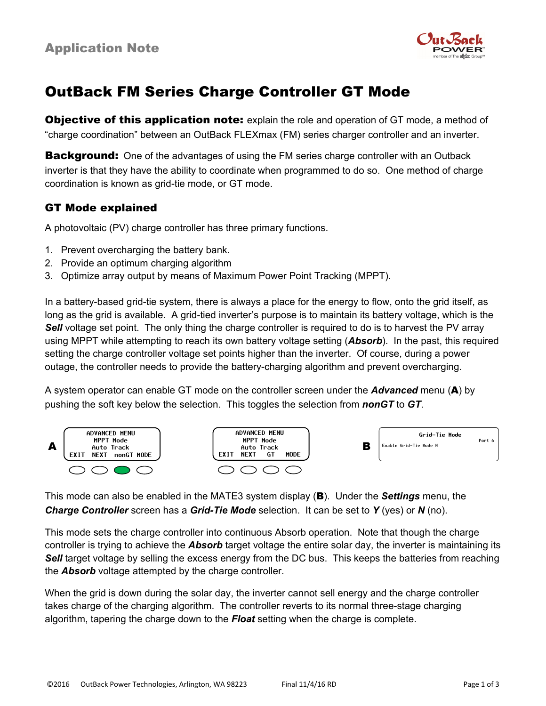

# OutBack FM Series Charge Controller GT Mode

**Objective of this application note:** explain the role and operation of GT mode, a method of "charge coordination" between an OutBack FLEXmax (FM) series charger controller and an inverter.

**Background:** One of the advantages of using the FM series charge controller with an Outback inverter is that they have the ability to coordinate when programmed to do so. One method of charge coordination is known as grid-tie mode, or GT mode.

### GT Mode explained

A photovoltaic (PV) charge controller has three primary functions.

- 1. Prevent overcharging the battery bank.
- 2. Provide an optimum charging algorithm
- 3. Optimize array output by means of Maximum Power Point Tracking (MPPT).

In a battery-based grid-tie system, there is always a place for the energy to flow, onto the grid itself, as long as the grid is available. A grid-tied inverter's purpose is to maintain its battery voltage, which is the **Sell** voltage set point. The only thing the charge controller is required to do is to harvest the PV array using MPPT while attempting to reach its own battery voltage setting (*Absorb*). In the past, this required setting the charge controller voltage set points higher than the inverter. Of course, during a power outage, the controller needs to provide the battery-charging algorithm and prevent overcharging.

A system operator can enable GT mode on the controller screen under the *Advanced* menu (A) by pushing the soft key below the selection. This toggles the selection from *nonGT* to *GT*.



This mode can also be enabled in the MATE3 system display (B). Under the *Settings* menu, the *Charge Controller* screen has a *Grid-Tie Mode* selection. It can be set to *Y* (yes) or *N* (no).

This mode sets the charge controller into continuous Absorb operation. Note that though the charge controller is trying to achieve the *Absorb* target voltage the entire solar day, the inverter is maintaining its **Sell** target voltage by selling the excess energy from the DC bus. This keeps the batteries from reaching the *Absorb* voltage attempted by the charge controller.

When the grid is down during the solar day, the inverter cannot sell energy and the charge controller takes charge of the charging algorithm. The controller reverts to its normal three-stage charging algorithm, tapering the charge down to the *Float* setting when the charge is complete.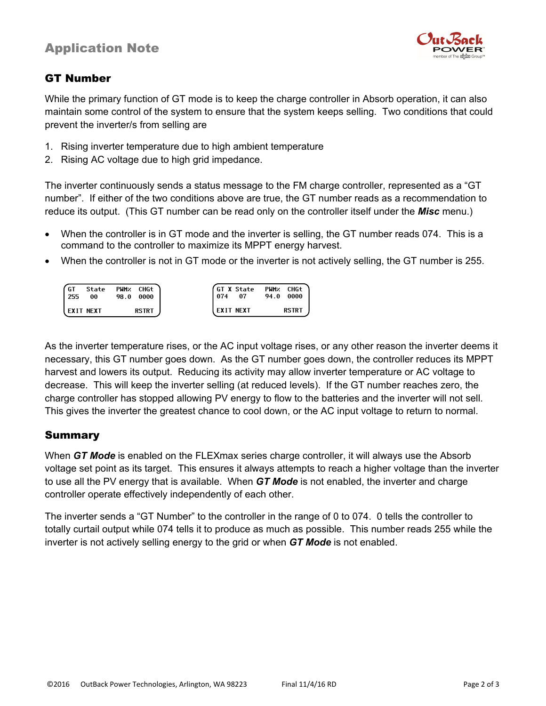## Application Note



#### GT Number

While the primary function of GT mode is to keep the charge controller in Absorb operation, it can also maintain some control of the system to ensure that the system keeps selling. Two conditions that could prevent the inverter/s from selling are

- 1. Rising inverter temperature due to high ambient temperature
- 2. Rising AC voltage due to high grid impedance.

The inverter continuously sends a status message to the FM charge controller, represented as a "GT number". If either of the two conditions above are true, the GT number reads as a recommendation to reduce its output. (This GT number can be read only on the controller itself under the *Misc* menu.)

- When the controller is in GT mode and the inverter is selling, the GT number reads 074. This is a command to the controller to maximize its MPPT energy harvest.
- When the controller is not in GT mode or the inverter is not actively selling, the GT number is 255.

| GT<br>255 | State<br>00      | PWM <sub>z</sub> CHGt<br>98.0<br>0000 | l 074 | GT X State<br>07 | 94.0 | PWM <sub>z</sub> CHGt<br>0000 |
|-----------|------------------|---------------------------------------|-------|------------------|------|-------------------------------|
|           | <b>EXIT NEXT</b> | <b>RSTRT</b>                          |       | l EXIT NEXT      |      | <b>RSTRT</b>                  |

As the inverter temperature rises, or the AC input voltage rises, or any other reason the inverter deems it necessary, this GT number goes down. As the GT number goes down, the controller reduces its MPPT harvest and lowers its output. Reducing its activity may allow inverter temperature or AC voltage to decrease. This will keep the inverter selling (at reduced levels). If the GT number reaches zero, the charge controller has stopped allowing PV energy to flow to the batteries and the inverter will not sell. This gives the inverter the greatest chance to cool down, or the AC input voltage to return to normal.

#### Summary

When *GT Mode* is enabled on the FLEXmax series charge controller, it will always use the Absorb voltage set point as its target. This ensures it always attempts to reach a higher voltage than the inverter to use all the PV energy that is available. When *GT Mode* is not enabled, the inverter and charge controller operate effectively independently of each other.

The inverter sends a "GT Number" to the controller in the range of 0 to 074. 0 tells the controller to totally curtail output while 074 tells it to produce as much as possible. This number reads 255 while the inverter is not actively selling energy to the grid or when *GT Mode* is not enabled.